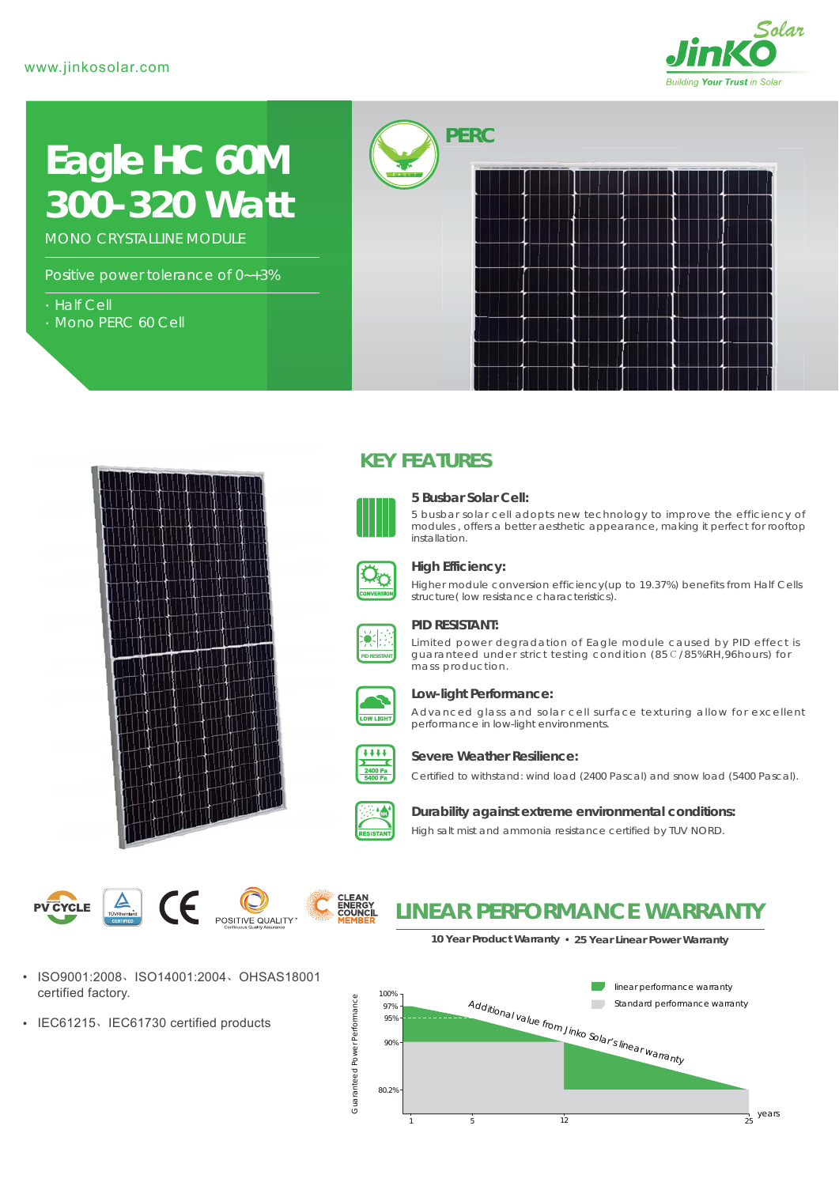

# *300-320 Watt* **Eagle HC 60M**

MONO CRYSTALLINE MODULE

Positive power tolerance of 0~+3%

- Half Cell
- Mono PERC 60 Cell





## **KEY FEATURES**



#### **5 Busbar Solar Cell:**

5 busbar solar cell adopts new technology to improve the efficiency of modules , offers a better aesthetic appearance, making it perfect for rooftop installation.



#### **High Efficiency:**

Higher module conversion efficiency(up to 19.37%) benefits from Half Cells structure( low resistance characteristics).



#### **PID RESISTANT:**

Limited power degradation of Eagle module caused by PID effect is guaranteed under strict testing condition (85℃/85%RH,96hours) for mass production.



#### **Low-light Performance:**

Advanced glass and solar cell surface texturing allow for excellent performance in low-light environments.



#### **Severe Weather Resilience:**

Certified to withstand: wind load (2400 Pascal) and snow load (5400 Pascal).



#### **Durability against extreme environmental conditions:**

High salt mist and ammonia resistance certified by TUV NORD.

 $\mathbf{A}$ CE **CLEAN<br>ENERGY<br>COUNCI PV CYCLE** POSITIVE QUALITY

### ISO9001:2008、ISO14001:2004、OHSAS18001 certified factory.

• IEC61215、IEC61730 certified products



**10 Year Product Warranty 25 Year Linear Power Warranty**

**LINEAR PERFORMANCE WARRANTY**